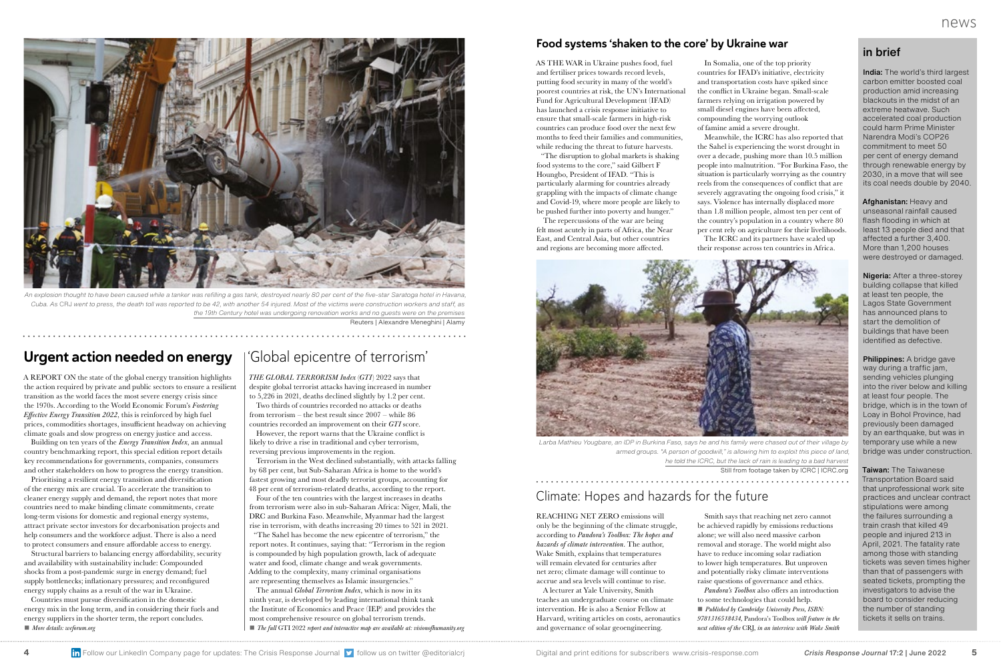## in brief

India: The world's third largest carbon emitter boosted coal production amid increasing blackouts in the midst of an extreme heatwave. Such accelerated coal production could harm Prime Minister Narendra Modi's COP26 commitment to meet 50 per cent of energy demand through renewable energy by 2030, in a move that will see its coal needs double by 2040.

Afghanistan: Heavy and unseasonal rainfall caused flash flooding in which at least 13 people died and that affected a further 3,400. More than 1,200 houses were destroyed or damaged.

Nigeria: After a three-storey building collapse that killed at least ten people, the Lagos State Government has announced plans to start the demolition of buildings that have been identified as defective.

Philippines: A bridge gave way during a traffic jam, sending vehicles plunging into the river below and killing at least four people. The bridge, which is in the town of Loay in Bohol Province, had previously been damaged by an earthquake, but was in temporary use while a new bridge was under construction.

Taiwan: The Taiwanese Transportation Board said that unprofessional work site practices and unclear contract stipulations were among the failures surrounding a train crash that killed 49 people and injured 213 in April, 2021. The fatality rate among those with standing tickets was seven times higher than that of passengers with seated tickets, prompting the investigators to advise the board to consider reducing the number of standing tickets it sells on trains.

The repercussions of the war are being felt most acutely in parts of Africa, the Near East, and Central Asia, but other countries and regions are becoming more affected.

In Somalia, one of the top priority countries for IFAD's initiative, electricity and transportation costs have spiked since the conflict in Ukraine began. Small-scale farmers relying on irrigation powered by small diesel engines have been affected,



*An explosion thought to have been caused while a tanker was refi lling a gas tank, destroyed nearly 80 per cent of the fi ve-star Saratoga hotel in Havana, Cuba. As* CRJ *went to press, the death toll was reported to be 42, with another 54 injured. Most of the victims were construction workers and staff, as the 19th Century hotel was undergoing renovation works and no guests were on the premises*

Reuters | Alexandre Meneghini | Alamy

### Food systems 'shaken to the core' by Ukraine war

AS THE WAR in Ukraine pushes food, fuel and fertiliser prices towards record levels, putting food security in many of the world's poorest countries at risk, the UN's International Fund for Agricultural Development (IFAD) has launched a crisis response initiative to ensure that small-scale farmers in high-risk countries can produce food over the next few months to feed their families and communities, while reducing the threat to future harvests.

"The disruption to global markets is shaking food systems to the core," said Gilbert F Houngbo, President of IFAD. "This is particularly alarming for countries already grappling with the impacts of climate change and Covid-19, where more people are likely to be pushed further into poverty and hunger."

Structural barriers to balancing energy affordability, security and availability with sustainability include: Compounded shocks from a post-pandemic surge in energy demand; fuel supply bottlenecks; inflationary pressures; and reconfigured energy supply chains as a result of the war in Ukraine.

Countries must pursue diversification in the domestic energy mix in the long term, and in considering their fuels and energy suppliers in the shorter term, the report concludes. ■ *More details: weforum.org*



Meanwhile, the ICRC has also reported that the Sahel is experiencing the worst drought in over a decade, pushing more than 10.5 million people into malnutrition. "For Burkina Faso, the situation is particularly worrying as the country reels from the consequences of conflict that are severely aggravating the ongoing food crisis," it says. Violence has internally displaced more than 1.8 million people, almost ten per cent of the country's population in a country where 80 per cent rely on agriculture for their livelihoods. The ICRC and its partners have scaled up their response across ten countries in Africa.

## Urgent action needed on energy

A REPORT ON the state of the global energy transition highlights the action required by private and public sectors to ensure a resilient transition as the world faces the most severe energy crisis since the 1970s. According to the World Economic Forum's *Fostering Effective Energy Transition 2022*, this is reinforced by high fuel prices, commodities shortages, insufficient headway on achieving climate goals and slow progress on energy justice and access.

> The annual *Global Terrorism Index*, which is now in its ninth year, is developed by leading international think tank the Institute of Economics and Peace (IEP) and provides the most comprehensive resource on global terrorism trends. ■ *The full GTI 2022 report and interactive map are available at: visionofhumanity.org*

Building on ten years of the *Energy Transition Index*, an annual country benchmarking report, this special edition report details key recommendations for governments, companies, consumers and other stakeholders on how to progress the energy transition.

Prioritising a resilient energy transition and diversification of the energy mix are crucial. To accelerate the transition to cleaner energy supply and demand, the report notes that more countries need to make binding climate commitments, create long-term visions for domestic and regional energy systems, attract private sector investors for decarbonisation projects and help consumers and the workforce adjust. There is also a need to protect consumers and ensure affordable access to energy.

## Climate: Hopes and hazards for the future

REACHING NET ZERO emissions will only be the beginning of the climate struggle, according to *Pandora's Toolbox: The hopes and hazards of climate intervention*. The author, Wake Smith, explains that temperatures will remain elevated for centuries after net zero; climate damage will continue to accrue and sea levels will continue to rise.

A lecturer at Yale University, Smith teaches an undergraduate course on climate intervention. He is also a Senior Fellow at Harvard, writing articles on costs, aeronautics and governance of solar geoengineering.

Smith says that reaching net zero cannot be achieved rapidly by emissions reductions alone; we will also need massive carbon removal and storage. The world might also have to reduce incoming solar radiation to lower high temperatures. But unproven and potentially risky climate interventions raise questions of governance and ethics. *Pandora's Toolbox* also offers an introduction to some technologies that could help. ■ *Published by Cambridge University Press, ISBN: 9781316518434,* Pandora's Toolbox *will feature in the next edition of the* CRJ*, in an interview with Wake Smith*



*Larba Mathieu Yougbare, an IDP in Burkina Faso, says he and his family were chased out of their village by armed groups. "A person of goodwill," is allowing him to exploit this piece of land, he told the ICRC, but the lack of rain is leading to a bad harvest*  Still from footage taken by ICRC | ICRC.org

## 'Global epicentre of terrorism'

*THE GLOBAL TERRORISM Index* (*GTI*) 2022 says that despite global terrorist attacks having increased in number to 5,226 in 2021, deaths declined slightly by 1.2 per cent.

Two thirds of countries recorded no attacks or deaths from terrorism – the best result since 2007 – while 86 countries recorded an improvement on their *GTI* score. However, the report warns that the Ukraine conflict is likely to drive a rise in traditional and cyber terrorism,

reversing previous improvements in the region. Terrorism in the West declined substantially, with attacks falling by 68 per cent, but Sub-Saharan Africa is home to the world's fastest growing and most deadly terrorist groups, accounting for

48 per cent of terrorism-related deaths, according to the report. Four of the ten countries with the largest increases in deaths from terrorism were also in sub-Saharan Africa: Niger, Mali, the DRC and Burkina Faso. Meanwhile, Myanmar had the largest

rise in terrorism, with deaths increasing 20 times to 521 in 2021. "The Sahel has become the new epicentre of terrorism," the report notes. It continues, saying that: "Terrorism in the region is compounded by high population growth, lack of adequate water and food, climate change and weak governments. Adding to the complexity, many criminal organisations are representing themselves as Islamic insurgencies."